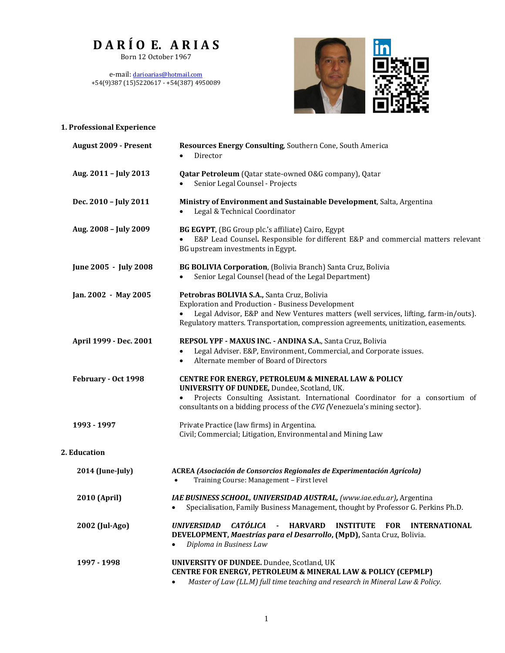# **D A R Í O E. A R I A S**

Born 12 October 1967

e-mail: [darioarias@hotmail.com](mailto:darioarias@hotmail.com) +54(9)387 (15)5220617 - +54(387) 4950089



| 1. Professional Experience   |                                                                                                                                                                                                                                                                                       |  |  |
|------------------------------|---------------------------------------------------------------------------------------------------------------------------------------------------------------------------------------------------------------------------------------------------------------------------------------|--|--|
| <b>August 2009 - Present</b> | Resources Energy Consulting, Southern Cone, South America<br>Director                                                                                                                                                                                                                 |  |  |
| Aug. 2011 - July 2013        | <b>Qatar Petroleum</b> (Qatar state-owned O&G company), Qatar<br>Senior Legal Counsel - Projects                                                                                                                                                                                      |  |  |
| Dec. 2010 - July 2011        | Ministry of Environment and Sustainable Development, Salta, Argentina<br>Legal & Technical Coordinator                                                                                                                                                                                |  |  |
| Aug. 2008 - July 2009        | BG EGYPT, (BG Group plc.'s affiliate) Cairo, Egypt<br>E&P Lead Counsel. Responsible for different E&P and commercial matters relevant<br>BG upstream investments in Egypt.                                                                                                            |  |  |
| June 2005 - July 2008        | BG BOLIVIA Corporation, (Bolivia Branch) Santa Cruz, Bolivia<br>Senior Legal Counsel (head of the Legal Department)<br>$\bullet$                                                                                                                                                      |  |  |
| Jan. 2002 - May 2005         | Petrobras BOLIVIA S.A., Santa Cruz, Bolivia<br><b>Exploration and Production - Business Development</b><br>Legal Advisor, E&P and New Ventures matters (well services, lifting, farm-in/outs).<br>Regulatory matters. Transportation, compression agreements, unitization, easements. |  |  |
| April 1999 - Dec. 2001       | REPSOL YPF - MAXUS INC. - ANDINA S.A., Santa Cruz, Bolivia<br>Legal Adviser. E&P, Environment, Commercial, and Corporate issues.<br>$\bullet$<br>Alternate member of Board of Directors<br>$\bullet$                                                                                  |  |  |
| February - Oct 1998          | CENTRE FOR ENERGY, PETROLEUM & MINERAL LAW & POLICY<br>UNIVERSITY OF DUNDEE, Dundee, Scotland, UK.<br>Projects Consulting Assistant. International Coordinator for a consortium of<br>consultants on a bidding process of the CVG (Venezuela's mining sector).                        |  |  |
| 1993 - 1997                  | Private Practice (law firms) in Argentina.<br>Civil; Commercial; Litigation, Environmental and Mining Law                                                                                                                                                                             |  |  |
| 2. Education                 |                                                                                                                                                                                                                                                                                       |  |  |
| 2014 (June-July)             | ACREA (Asociación de Consorcios Regionales de Experimentación Agrícola)<br>Training Course: Management - First level<br>$\bullet$                                                                                                                                                     |  |  |
| 2010 (April)                 | IAE BUSINESS SCHOOL, UNIVERSIDAD AUSTRAL, (www.iae.edu.ar), Argentina<br>Specialisation, Family Business Management, thought by Professor G. Perkins Ph.D.                                                                                                                            |  |  |
| 2002 (Jul-Ago)               | <b>CATÓLICA</b><br><b>HARVARD</b><br><b>INSTITUTE</b><br><b>UNIVERSIDAD</b><br><b>FOR</b><br><b>INTERNATIONAL</b><br>$\blacksquare$<br>DEVELOPMENT, Maestrías para el Desarrollo, (MpD), Santa Cruz, Bolivia.<br>Diploma in Business Law<br>$\bullet$                                 |  |  |
| 1997 - 1998                  | UNIVERSITY OF DUNDEE. Dundee, Scotland, UK<br>CENTRE FOR ENERGY, PETROLEUM & MINERAL LAW & POLICY (CEPMLP)<br>Master of Law (LL.M) full time teaching and research in Mineral Law & Policy.                                                                                           |  |  |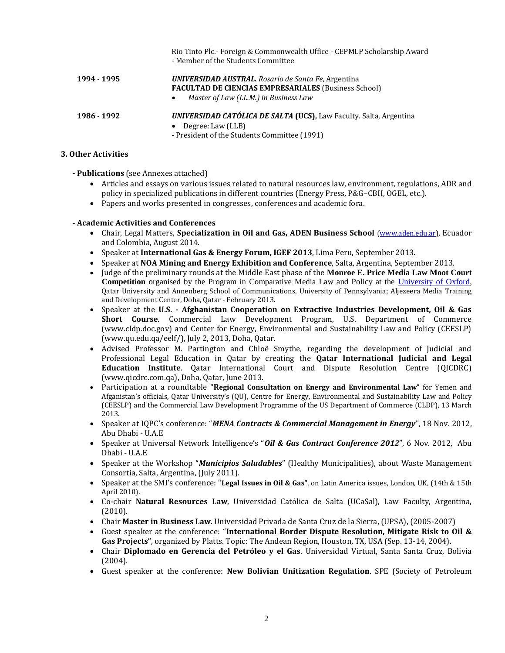|             | Rio Tinto Plc.- Foreign & Commonwealth Office - CEPMLP Scholarship Award<br>- Member of the Students Committee            |  |  |
|-------------|---------------------------------------------------------------------------------------------------------------------------|--|--|
| 1994 - 1995 | <b>UNIVERSIDAD AUSTRAL.</b> Rosario de Santa Fe, Argentina<br><b>FACULTAD DE CIENCIAS EMPRESARIALES (Business School)</b> |  |  |
|             | Master of Law (LL.M.) in Business Law<br>٠                                                                                |  |  |
| 1986 - 1992 | <b>UNIVERSIDAD CATÓLICA DE SALTA (UCS), Law Faculty. Salta, Argentina</b>                                                 |  |  |
|             | Degree: Law (LLB)<br>$\bullet$<br>- President of the Students Committee (1991)                                            |  |  |

#### **3. Other Activities**

#### **- Publications** (see Annexes attached)

- Articles and essays on various issues related to natural resources law, environment, regulations, ADR and policy in specialized publications in different countries (Energy Press, P&G–CBH, OGEL, etc.).
- Papers and works presented in congresses, conferences and academic fora.

#### **- Academic Activities and Conferences**

- Chair, Legal Matters, **Specialization in Oil and Gas, ADEN Business School** [\(www.aden.edu.ar\)](http://www.aden.edu.ar/), Ecuador and Colombia, August 2014.
- Speaker at **International Gas & Energy Forum, IGEF 2013**, Lima Peru, September 2013.
- Speaker at **NOA Mining and Energy Exhibition and Conference**, Salta, Argentina, September 2013.
- Judge of the preliminary rounds at the Middle East phase of the **Monroe E. Price Media Law Moot Court Competition** organised by the Program in Comparative Media Law and Policy at the [University of Oxford,](http://en.wikipedia.org/wiki/University_of_Oxford) Qatar University and Annenberg School of Communications, University of Pennsylvania; Aljezeera Media Training and Development Center, Doha, Qatar - February 2013.
- Speaker at the **U.S. - Afghanistan Cooperation on Extractive Industries Development, Oil & Gas Short Course**. Commercial Law Development Program, U.S. Department of Commerce [\(www.cldp.doc.gov\)](http://www.cldp.doc.gov/) and Center for Energy, Environmental and Sustainability Law and Policy (CEESLP) [\(www.qu.edu.qa/eelf/\)](http://www.qu.edu.qa/eelf/), July 2, 2013, Doha, Qatar.
- Advised Professor M. Partington and Chloë Smythe, regarding the development of Judicial and Professional Legal Education in Qatar by creating the **Qatar International Judicial and Legal Education Institute**. Qatar International Court and Dispute Resolution Centre (QICDRC) [\(www.qicdrc.com.qa\)](http://www.qicdrc.com.qa/), Doha, Qatar, June 2013.
- Participation at a roundtable "**Regional Consultation on Energy and Environmental Law**" for Yemen and Afganistan's officials, Qatar University's (QU), Centre for Energy, Environmental and Sustainability Law and Policy (CEESLP) and the Commercial Law Development Programme of the US Department of Commerce (CLDP), 13 March 2013.
- Speaker at IQPC's conference: "*MENA Contracts & Commercial Management in Energy*", 18 Nov. 2012, Abu Dhabi - U.A.E
- Speaker at Universal Network Intelligence's "*Oil & Gas Contract Conference 2012*", 6 Nov. 2012, Abu Dhabi - U.A.E
- Speaker at the Workshop "*Municipios Saludables*" (Healthy Municipalities), about Waste Management Consortia, Salta, Argentina, (July 2011).
- Speaker at the SMI's conference: "**Legal Issues in Oil & Gas"**, on Latin America issues, London, UK, (14th & 15th April 2010).
- Co-chair **Natural Resources Law**, Universidad Católica de Salta (UCaSal), Law Faculty, Argentina, (2010).
- Chair **Master in Business Law**. Universidad Privada de Santa Cruz de la Sierra, (UPSA), (2005-2007)
- Guest speaker at the conference: "**International Border Dispute Resolution, Mitigate Risk to Oil & Gas Projects"**, organized by Platts. Topic: The Andean Region, Houston, TX, USA (Sep. 13-14, 2004).
- Chair **Diplomado en Gerencia del Petróleo y el Gas**. Universidad Virtual, Santa Santa Cruz, Bolivia (2004).
- Guest speaker at the conference: **New Bolivian Unitization Regulation**. SPE (Society of Petroleum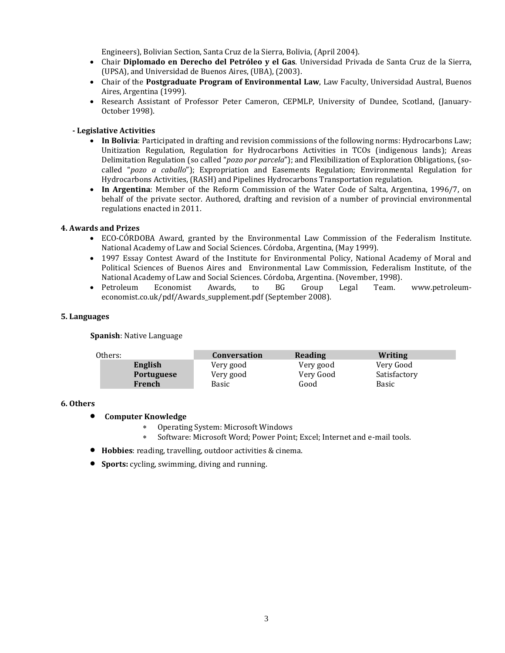Engineers), Bolivian Section, Santa Cruz de la Sierra, Bolivia, (April 2004).

- Chair **Diplomado en Derecho del Petróleo y el Gas**. Universidad Privada de Santa Cruz de la Sierra, (UPSA), and Universidad de Buenos Aires, (UBA), (2003).
- Chair of the **Postgraduate Program of Environmental Law**, Law Faculty, Universidad Austral, Buenos Aires, Argentina (1999).
- Research Assistant of Professor Peter Cameron, CEPMLP, University of Dundee, Scotland, (January-October 1998).

## **- Legislative Activities**

- **In Bolivia**: Participated in drafting and revision commissions of the following norms: Hydrocarbons Law; Unitization Regulation, Regulation for Hydrocarbons Activities in TCOs (indigenous lands); Areas Delimitation Regulation (so called "*pozo por parcela*"); and Flexibilization of Exploration Obligations, (socalled "*pozo a caballo*"); Expropriation and Easements Regulation; Environmental Regulation for Hydrocarbons Activities, (RASH) and Pipelines Hydrocarbons Transportation regulation.
- **In Argentina**: Member of the Reform Commission of the Water Code of Salta, Argentina, 1996/7, on behalf of the private sector. Authored, drafting and revision of a number of provincial environmental regulations enacted in 2011.

### **4. Awards and Prizes**

- ECO-CÓRDOBA Award, granted by the Environmental Law Commission of the Federalism Institute. National Academy of Law and Social Sciences. Córdoba, Argentina, (May 1999).
- 1997 Essay Contest Award of the Institute for Environmental Policy, National Academy of Moral and Political Sciences of Buenos Aires and Environmental Law Commission, Federalism Institute, of the National Academy of Law and Social Sciences. Córdoba, Argentina. (November, 1998).
- Petroleum Economist Awards, to BG Group Legal Team. [www.petroleum](https://dl-web.dropbox.com/Documents%20and%20Settings/ariasd/Local%20Settings/Temporary%20Internet%20Files/OLK46D/www.petroleum-economist.co.uk/pdf/Awards_supplement.pdf)[economist.co.uk/pdf/Awards\\_supplement.pdf](https://dl-web.dropbox.com/Documents%20and%20Settings/ariasd/Local%20Settings/Temporary%20Internet%20Files/OLK46D/www.petroleum-economist.co.uk/pdf/Awards_supplement.pdf) (September 2008).

#### **5. Languages**

**Spanish**: Native Language

| Others: |                   | Conversation | Reading   | Writing      |
|---------|-------------------|--------------|-----------|--------------|
| English |                   | Very good    | Very good | Very Good    |
|         | <b>Portuguese</b> | Very good    | Very Good | Satisfactory |
| French  |                   | Basic        | Good      | Basic        |

#### **6. Others**

- **Computer Knowledge**
	- Operating System: Microsoft Windows
	- Software: Microsoft Word; Power Point; Excel; Internet and e-mail tools.
- **Hobbies**: reading, travelling, outdoor activities & cinema.
- **Sports:** cycling, swimming, diving and running.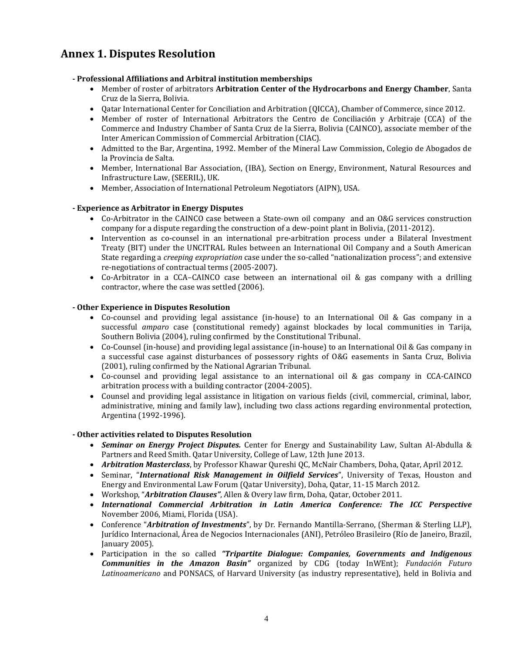# **Annex 1. Disputes Resolution**

# **- Professional Affiliations and Arbitral institution memberships**

- Member of roster of arbitrators **Arbitration Center of the Hydrocarbons and Energy Chamber**, Santa Cruz de la Sierra, Bolivia.
- Qatar International Center for Conciliation and Arbitration (QICCA), Chamber of Commerce, since 2012.
- Member of roster of International Arbitrators the Centro de Conciliación y Arbitraje (CCA) of the Commerce and Industry Chamber of Santa Cruz de la Sierra, Bolivia (CAINCO), associate member of the Inter American Commission of Commercial Arbitration (CIAC).
- Admitted to the Bar, Argentina, 1992. Member of the Mineral Law Commission, Colegio de Abogados de la Provincia de Salta.
- Member, International Bar Association, (IBA), Section on Energy, Environment, Natural Resources and Infrastructure Law, (SEERIL), UK.
- Member, Association of International Petroleum Negotiators (AIPN), USA.

# **- Experience as Arbitrator in Energy Disputes**

- Co-Arbitrator in the CAINCO case between a State-own oil company and an O&G services construction company for a dispute regarding the construction of a dew-point plant in Bolivia, (2011-2012).
- Intervention as co-counsel in an international pre-arbitration process under a Bilateral Investment Treaty (BIT) under the UNCITRAL Rules between an International Oil Company and a South American State regarding a *creeping expropriation* case under the so-called "nationalization process"; and extensive re-negotiations of contractual terms (2005-2007).
- Co-Arbitrator in a CCA–CAINCO case between an international oil & gas company with a drilling contractor, where the case was settled (2006).

# **- Other Experience in Disputes Resolution**

- Co-counsel and providing legal assistance (in-house) to an International Oil & Gas company in a successful *amparo* case (constitutional remedy) against blockades by local communities in Tarija, Southern Bolivia (2004), ruling confirmed by the Constitutional Tribunal.
- Co-Counsel (in-house) and providing legal assistance (in-house) to an International Oil & Gas company in a successful case against disturbances of possessory rights of O&G easements in Santa Cruz, Bolivia (2001), ruling confirmed by the National Agrarian Tribunal.
- Co-counsel and providing legal assistance to an international oil & gas company in CCA-CAINCO arbitration process with a building contractor (2004-2005).
- Counsel and providing legal assistance in litigation on various fields (civil, commercial, criminal, labor, administrative, mining and family law), including two class actions regarding environmental protection, Argentina (1992-1996).

# **- Other activities related to Disputes Resolution**

- *Seminar on Energy Project Disputes.* Center for Energy and Sustainability Law, Sultan Al-Abdulla & Partners and Reed Smith. Qatar University, College of Law, 12th June 2013.
- *Arbitration Masterclass*, by Professor Khawar Qureshi QC, McNair Chambers, Doha, Qatar, April 2012.
- Seminar, "*International Risk Management in Oilfield Services*", University of Texas, Houston and Energy and Environmental Law Forum (Qatar University), Doha, Qatar, 11-15 March 2012.
- Workshop, "*Arbitration Clauses"*, Allen & Overy law firm, Doha, Qatar, October 2011.
- *International Commercial Arbitration in Latin America Conference: The ICC Perspective* November 2006, Miami, Florida (USA).
- Conference "*Arbitration of Investments*", by Dr. Fernando Mantilla-Serrano, (Sherman & Sterling LLP), Jurídico Internacional, Área de Negocios Internacionales (ANI), Petróleo Brasileiro (Río de Janeiro, Brazil, January 2005).
- Participation in the so called *"Tripartite Dialogue: Companies, Governments and Indigenous Communities in the Amazon Basin"* organized by CDG (today InWEnt); *Fundación Futuro Latinoamericano* and PONSACS, of Harvard University (as industry representative), held in Bolivia and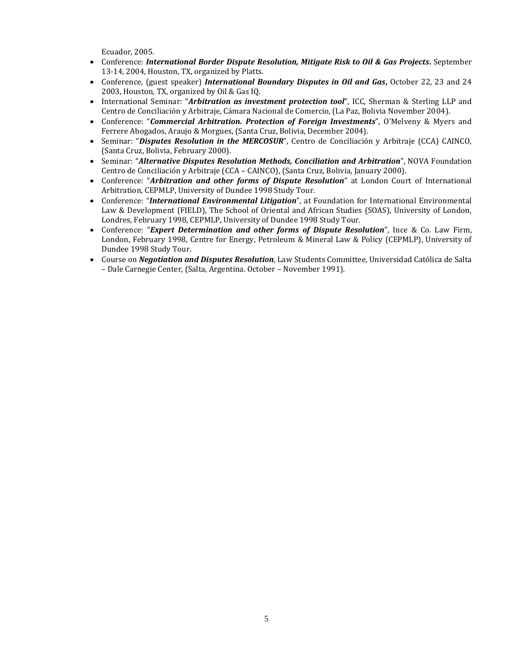Ecuador, 2005.

- Conference: *International Border Dispute Resolution, Mitigate Risk to Oil & Gas Projects***.** September 13-14, 2004, Houston, TX, organized by Platts.
- Conference, (guest speaker) *International Boundary Disputes in Oil and Gas*, October 22, 23 and 24 2003, Houston, TX, organized by Oil & Gas IQ.
- International Seminar: "*Arbitration as investment protection tool*", ICC, Sherman & Sterling LLP and Centro de Conciliación y Arbitraje, Cámara Nacional de Comercio, (La Paz, Bolivia November 2004).
- Conference: "*Commercial Arbitration. Protection of Foreign Investments*", O'Melveny & Myers and Ferrere Abogados, Araujo & Morgues, (Santa Cruz, Bolivia, December 2004).
- Seminar: "*Disputes Resolution in the MERCOSUR*", Centro de Conciliación y Arbitraje (CCA) CAINCO, (Santa Cruz, Bolivia, February 2000).
- Seminar: "*Alternative Disputes Resolution Methods, Conciliation and Arbitration*", NOVA Foundation Centro de Conciliación y Arbitraje (CCA – CAINCO), (Santa Cruz, Bolivia, January 2000).
- Conference: "*Arbitration and other forms of Dispute Resolution*" at London Court of International Arbitration, CEPMLP, University of Dundee 1998 Study Tour.
- Conference: "*International Environmental Litigation*", at Foundation for International Environmental Law & Development (FIELD), The School of Oriental and African Studies (SOAS), University of London, Londres, February 1998, CEPMLP, University of Dundee 1998 Study Tour.
- Conference: "*Expert Determination and other forms of Dispute Resolution*", Ince & Co. Law Firm, London, February 1998, Centre for Energy, Petroleum & Mineral Law & Policy (CEPMLP), University of Dundee 1998 Study Tour.
- Course on *Negotiation and Disputes Resolution*, Law Students Committee, Universidad Católica de Salta – Dale Carnegie Center, (Salta, Argentina. October – November 1991).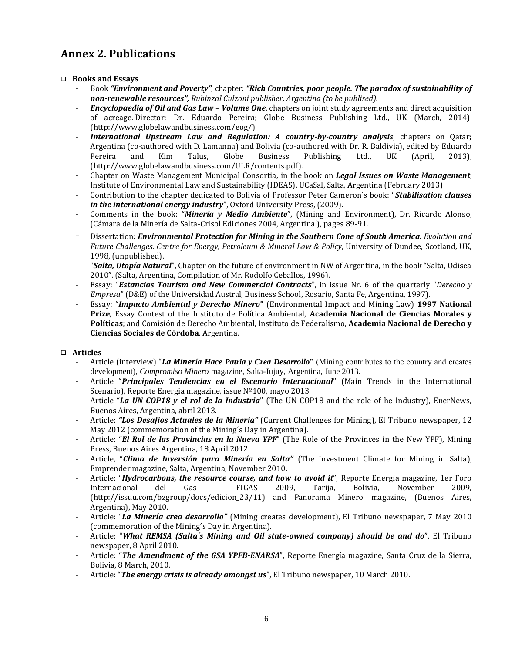# **Annex 2. Publications**

# **Books and Essays**

- Book *"Environment and Poverty"*, chapter: *"Rich Countries, poor people. The paradox of sustainability of non-renewable resources", Rubinzal Culzoni publisher, Argentina (to be publised).*
- *Encyclopaedia of Oil and Gas Law – Volume One*, chapters on joint study agreements and direct acquisition of acreage. Director: Dr. Eduardo Pereira; Globe Business Publishing Ltd., UK (March, 2014), [\(http://www.globelawandbusiness.com/eog/\)](http://www.globelawandbusiness.com/eog/).
- *International Upstream Law and Regulation: A country-by-country analysis*, chapters on Qatar; Argentina (co-authored with D. Lamanna) and Bolivia (co-authored with Dr. R. Baldivia), edited by Eduardo<br>Pereira and Kim Talus, Globe Business Publishing Ltd., UK (April, 2013), Pereira and Kim Talus, Globe Business Publishing Ltd., UK (April, 2013), (http://www.globelawandbusiness.com/ULR/contents.pdf).
- Chapter on Waste Management Municipal Consortia, in the book on *Legal Issues on Waste Management*, Institute of Environmental Law and Sustainability (IDEAS), UCaSal, Salta, Argentina (February 2013).
- Contribution to the chapter dedicated to Bolivia of Professor Peter Cameron´s book: "*Stabilisation clauses in the international energy industry*", Oxford University Press, (2009).
- Comments in the book: "*Minería y Medio Ambiente*", (Mining and Environment), Dr. Ricardo Alonso, (Cámara de la Minería de Salta-Crisol Ediciones 2004, Argentina ), pages 89-91.
- Dissertation: *Environmental Protection for Mining in the Southern Cone of South America*. *Evolution and Future Challenges*. *Centre for Energy, Petroleum & Mineral Law & Policy*, University of Dundee, Scotland, UK, 1998, (unpublished).
- "*Salta, Utopía Natural*", Chapter on the future of environment in NW of Argentina, in the book "Salta, Odisea 2010". (Salta, Argentina, Compilation of Mr. Rodolfo Ceballos, 1996).
- Essay: "*Estancias Tourism and New Commercial Contracts*", in issue Nr. 6 of the quarterly "*Derecho y Empresa*" (D&E) of the Universidad Austral, Business School, Rosario, Santa Fe, Argentina, 1997).
- Essay: "*Impacto Ambiental y Derecho Minero***"** (Environmental Impact and Mining Law) **1997 National Prize**, Essay Contest of the Instituto de Política Ambiental, **Academia Nacional de Ciencias Morales y Políticas**; and Comisión de Derecho Ambiental, Instituto de Federalismo, **Academia Nacional de Derecho y Ciencias Sociales de Córdoba**. Argentina.

# **Articles**

- Article (interview) "*La Minería Hace Patria y Crea Desarrollo*" (Mining contributes to the country and creates development), *Compromiso Minero* magazine, Salta-Jujuy, Argentina, June 2013.
- Article "*Principales Tendencias en el Escenario Internacional*" (Main Trends in the International Scenario), Reporte Energia magazine, issue Nº100, mayo 2013.
- Article "*La UN COP18 y el rol de la Industria*" (The UN COP18 and the role of he Industry), EnerNews, Buenos Aires, Argentina, abril 2013.
- Article: *"Los Desafíos Actuales de la Minería"* (Current Challenges for Mining), El Tribuno newspaper, 12 May 2012 (commemoration of the Mining´s Day in Argentina).
- Article: "*El Rol de las Provincias en la Nueva YPF*" (The Role of the Provinces in the New YPF), Mining Press, Buenos Aires Argentina, 18 April 2012.
- Article, "*Clima de Inversión para Minería en Salta"* (The Investment Climate for Mining in Salta), Emprender magazine, Salta, Argentina, November 2010.
- Article: "*Hydrocarbons, the resource course, and how to avoid it*", Reporte Energía magazine, 1er Foro Internacional del Gas – FIGAS 2009, Tarija, Bolivia, November 2009, [\(http://issuu.com/bzgroup/docs/edicion\\_23/11\)](http://issuu.com/bzgroup/docs/edicion_23/11) and Panorama Minero magazine, (Buenos Aires, Argentina), May 2010.
- Article: "*La Minería crea desarrollo"* (Mining creates development), El Tribuno newspaper, 7 May 2010 (commemoration of the Mining´s Day in Argentina).
- Article: "*What REMSA (Salta´s Mining and Oil state-owned company) should be and do*", El Tribuno newspaper, 8 April 2010.
- Article: "*The Amendment of the GSA YPFB-ENARSA*", Reporte Energía magazine, Santa Cruz de la Sierra, Bolivia, 8 March, 2010.
- Article: "*The energy crisis is already amongst us*", El Tribuno newspaper, 10 March 2010.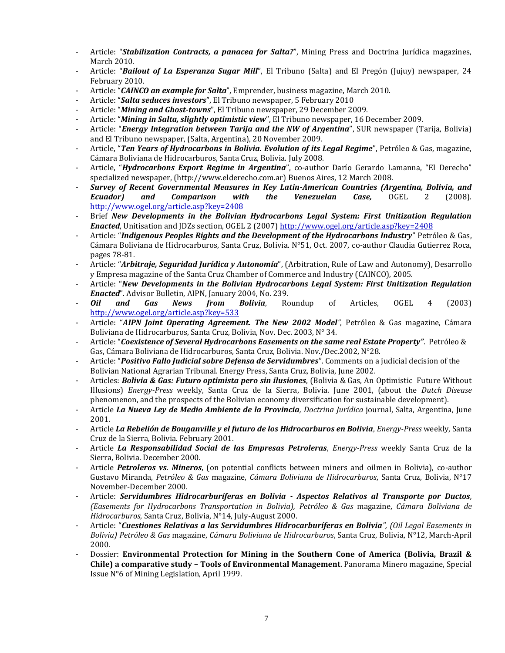- Article: "*Stabilization Contracts, a panacea for Salta?*", Mining Press and Doctrina Jurídica magazines, March 2010.
- Article: "*Bailout of La Esperanza Sugar Mill*", El Tribuno (Salta) and El Pregón (Jujuy) newspaper, 24 February 2010.
- Article: "*CAINCO an example for Salta*", Emprender, business magazine, March 2010.
- Article: "*Salta seduces investors*", El Tribuno newspaper, 5 February 2010
- Article: "*Mining and Ghost-towns*", El Tribuno newspaper, 29 December 2009.
- Article: "*Mining in Salta, slightly optimistic view*", El Tribuno newspaper, 16 December 2009.
- Article: "*Energy Integration between Tarija and the NW of Argentina*", SUR newspaper (Tarija, Bolivia) and El Tribuno newspaper, (Salta, Argentina), 20 November 2009.
- Article, "*Ten Years of Hydrocarbons in Bolivia. Evolution of its Legal Regime*", Petróleo & Gas, magazine, Cámara Boliviana de Hidrocarburos, Santa Cruz, Bolivia. July 2008.
- Article, "*Hydrocarbons Export Regime in Argentina*", co-author Darío Gerardo Lamanna, "El Derecho" specialized newspaper, [\(http://www.elderecho.com.ar\)](http://www.elderecho.com.ar/) Buenos Aires, 12 March 2008.
- *[Survey of Recent Governmental Measures in Key Latin-American Countries \(Argentina, Bolivia, and](http://www.ogel.org/article.asp?key=2739)  [Ecuador\) and Comparison with the Venezuelan Case,](http://www.ogel.org/article.asp?key=2739)* OGEL 2 (2008). <http://www.ogel.org/article.asp?key=2408>
- Brief *[New Developments in the Bolivian Hydrocarbons Legal System: First Unitization Regulation](http://www.ogel.org/article.asp?key=2408)  [Enacted](http://www.ogel.org/article.asp?key=2408)*, Unitisation and JDZs section, OGEL 2 (2007[\) http://www.ogel.org/article.asp?key=2408](http://www.ogel.org/article.asp?key=2408)
- Article: "*Indigenous Peoples Rights and the Development of the Hydrocarbons Industry*" Petróleo & Gas, Cámara Boliviana de Hidrocarburos, Santa Cruz, Bolivia. N°51, Oct. 2007, co-author Claudia Gutierrez Roca, pages 78-81.
- Article: "*Arbitraje, Seguridad Jurídica y Autonomía*", (Arbitration, Rule of Law and Autonomy), Desarrollo y Empresa magazine of the Santa Cruz Chamber of Commerce and Industry (CAINCO), 2005.
- Article: "*New Developments in the Bolivian Hydrocarbons Legal System: First Unitization Regulation Enacted*". Advisor Bulletin, AIPN, January 2004, No. 239.
- *[Oil and Gas News from Bolivia](http://www.ogel.org/article.asp?key=533)*, Roundup of Articles, OGEL 4 (2003) <http://www.ogel.org/article.asp?key=533>
- Article: "*AIPN Joint Operating Agreement. The New 2002 Model"*, Petróleo & Gas magazine, Cámara Boliviana de Hidrocarburos, Santa Cruz, Bolivia, Nov. Dec. 2003, N° 34.
- Article: "*Coexistence of Several Hydrocarbons Easements on the same real Estate Property"*. Petróleo & Gas, Cámara Boliviana de Hidrocarburos, Santa Cruz, Bolivia. Nov./Dec.2002, N°28.
- Article: "*Positivo Fallo Judicial sobre Defensa de Servidumbres*". Comments on a judicial decision of the Bolivian National Agrarian Tribunal. Energy Press, Santa Cruz, Bolivia, June 2002.
- Articles: *Bolivia & Gas: Futuro optimista pero sin ilusiones*, (Bolivia & Gas, An Optimistic Future Without Illusions) *Energy-Press* weekly, Santa Cruz de la Sierra, Bolivia. June 2001, (about the *Dutch Disease*  phenomenon, and the prospects of the Bolivian economy diversification for sustainable development).
- Article *La Nueva Ley de Medio Ambiente de la Provincia, Doctrina Jurídica* journal, Salta, Argentina, June 2001.
- Article *La Rebelión de Bouganville y el futuro de los Hidrocarburos en Bolivia*, *Energy-Press* weekly, Santa Cruz de la Sierra, Bolivia. February 2001.
- Article *La Responsabilidad Social de las Empresas Petroleras*, *Energy-Press* weekly Santa Cruz de la Sierra, Bolivia. December 2000.
- Article *Petroleros vs. Mineros*, (on potential conflicts between miners and oilmen in Bolivia), co-author Gustavo Miranda, *Petróleo & Gas* magazine, *Cámara Boliviana de Hidrocarburos*, Santa Cruz, Bolivia, N°17 November-December 2000.
- Article: *Servidumbres Hidrocarburíferas en Bolivia - Aspectos Relativos al Transporte por Ductos, (Easements for Hydrocarbons Transportation in Bolivia), Petróleo & Gas* magazine, *Cámara Boliviana de Hidrocarburos*, Santa Cruz, Bolivia, N°14, July-August 2000.
- Article: "*Cuestiones Relativas a las Servidumbres Hidrocarburíferas en Bolivia", (Oil Legal Easements in Bolivia) Petróleo & Gas* magazine, *Cámara Boliviana de Hidrocarburos*, Santa Cruz, Bolivia, N°12, March-April 2000.
- Dossier: **Environmental Protection for Mining in the Southern Cone of America (Bolivia, Brazil & Chile) a comparative study – Tools of Environmental Management**. Panorama Minero magazine, Special Issue N°6 of Mining Legislation, April 1999.